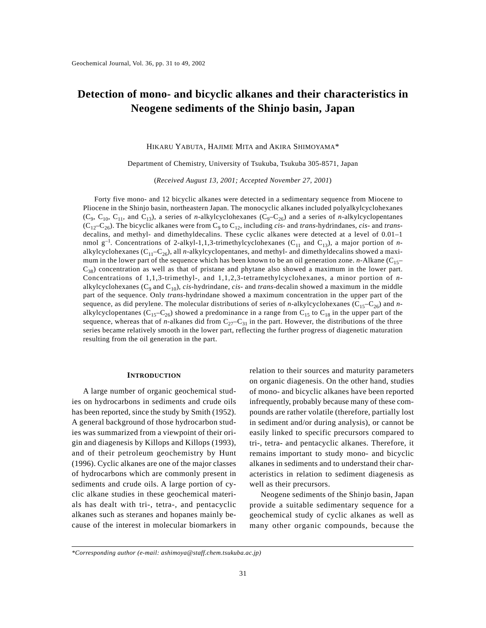# **Detection of mono- and bicyclic alkanes and their characteristics in Neogene sediments of the Shinjo basin, Japan**

HIKARU YABUTA, HAJIME MITA and AKIRA SHIMOYAMA\*

Department of Chemistry, University of Tsukuba, Tsukuba 305-8571, Japan

(*Received August 13, 2001; Accepted November 27, 2001*)

Forty five mono- and 12 bicyclic alkanes were detected in a sedimentary sequence from Miocene to Pliocene in the Shinjo basin, northeastern Japan. The monocyclic alkanes included polyalkylcyclohexanes  $(C_9, C_{10}, C_{11}, \text{ and } C_{13})$ , a series of *n*-alkylcyclohexanes  $(C_9 - C_{26})$  and a series of *n*-alkylcyclopentanes  $(C_{12}-C_{26})$ . The bicyclic alkanes were from  $C_9$  to  $C_{12}$ , including *cis*- and *trans*-hydrindanes, *cis*- and *trans*decalins, and methyl- and dimethyldecalins. These cyclic alkanes were detected at a level of 0.01–1 nmol  $g^{-1}$ . Concentrations of 2-alkyl-1,1,3-trimethylcyclohexanes (C<sub>11</sub> and C<sub>13</sub>), a major portion of *n*alkylcyclohexanes  $(C_{11}-C_{26})$ , all *n*-alkylcyclopentanes, and methyl- and dimethyldecalins showed a maximum in the lower part of the sequence which has been known to be an oil generation zone. *n*-Alkane  $(C_{15} C_{38}$ ) concentration as well as that of pristane and phytane also showed a maximum in the lower part. Concentrations of 1,1,3-trimethyl-, and 1,1,2,3-tetramethylcyclohexanes, a minor portion of *n*alkylcyclohexanes  $(C_9$  and  $C_{10}$ , *cis*-hydrindane, *cis*- and *trans*-decalin showed a maximum in the middle part of the sequence. Only *trans*-hydrindane showed a maximum concentration in the upper part of the sequence, as did perylene. The molecular distributions of series of *n*-alkylcyclohexanes ( $C_{15}-C_{26}$ ) and *n*alkylcyclopentanes ( $C_{15}-C_{26}$ ) showed a predominance in a range from  $C_{15}$  to  $C_{18}$  in the upper part of the sequence, whereas that of *n*-alkanes did from  $C_{27}-C_{31}$  in the part. However, the distributions of the three series became relatively smooth in the lower part, reflecting the further progress of diagenetic maturation resulting from the oil generation in the part.

## **INTRODUCTION**

A large number of organic geochemical studies on hydrocarbons in sediments and crude oils has been reported, since the study by Smith (1952). A general background of those hydrocarbon studies was summarized from a viewpoint of their origin and diagenesis by Killops and Killops (1993), and of their petroleum geochemistry by Hunt (1996). Cyclic alkanes are one of the major classes of hydrocarbons which are commonly present in sediments and crude oils. A large portion of cyclic alkane studies in these geochemical materials has dealt with tri-, tetra-, and pentacyclic alkanes such as steranes and hopanes mainly because of the interest in molecular biomarkers in relation to their sources and maturity parameters on organic diagenesis. On the other hand, studies of mono- and bicyclic alkanes have been reported infrequently, probably because many of these compounds are rather volatile (therefore, partially lost in sediment and/or during analysis), or cannot be easily linked to specific precursors compared to tri-, tetra- and pentacyclic alkanes. Therefore, it remains important to study mono- and bicyclic alkanes in sediments and to understand their characteristics in relation to sediment diagenesis as well as their precursors.

Neogene sediments of the Shinjo basin, Japan provide a suitable sedimentary sequence for a geochemical study of cyclic alkanes as well as many other organic compounds, because the

*<sup>\*</sup>Corresponding author (e-mail: ashimoya@staff.chem.tsukuba.ac.jp)*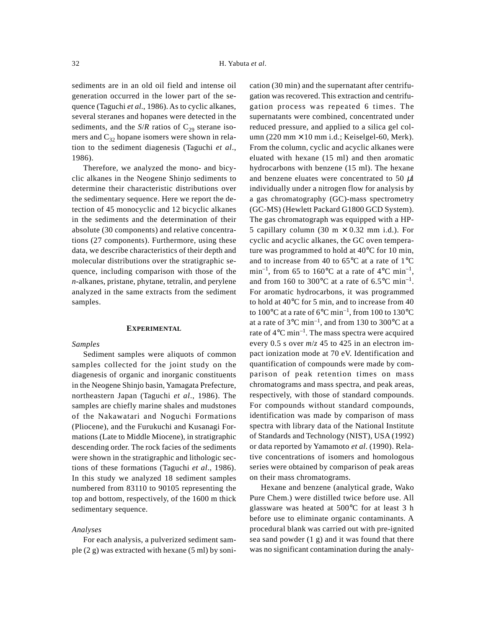sediments are in an old oil field and intense oil generation occurred in the lower part of the sequence (Taguchi *et al*., 1986). As to cyclic alkanes, several steranes and hopanes were detected in the sediments, and the  $S/R$  ratios of  $C_{29}$  sterane isomers and  $C_{32}$  hopane isomers were shown in relation to the sediment diagenesis (Taguchi *et al*., 1986).

Therefore, we analyzed the mono- and bicyclic alkanes in the Neogene Shinjo sediments to determine their characteristic distributions over the sedimentary sequence. Here we report the detection of 45 monocyclic and 12 bicyclic alkanes in the sediments and the determination of their absolute (30 components) and relative concentrations (27 components). Furthermore, using these data, we describe characteristics of their depth and molecular distributions over the stratigraphic sequence, including comparison with those of the *n*-alkanes, pristane, phytane, tetralin, and perylene analyzed in the same extracts from the sediment samples.

# **EXPERIMENTAL**

# *Samples*

Sediment samples were aliquots of common samples collected for the joint study on the diagenesis of organic and inorganic constituents in the Neogene Shinjo basin, Yamagata Prefecture, northeastern Japan (Taguchi *et al*., 1986). The samples are chiefly marine shales and mudstones of the Nakawatari and Noguchi Formations (Pliocene), and the Furukuchi and Kusanagi Formations (Late to Middle Miocene), in stratigraphic descending order. The rock facies of the sediments were shown in the stratigraphic and lithologic sections of these formations (Taguchi *et al*., 1986). In this study we analyzed 18 sediment samples numbered from 83110 to 90105 representing the top and bottom, respectively, of the 1600 m thick sedimentary sequence.

#### *Analyses*

For each analysis, a pulverized sediment sample (2 g) was extracted with hexane (5 ml) by sonication (30 min) and the supernatant after centrifugation was recovered. This extraction and centrifugation process was repeated 6 times. The supernatants were combined, concentrated under reduced pressure, and applied to a silica gel column (220 mm  $\times$  10 mm i.d.; Keiselgel-60, Merk). From the column, cyclic and acyclic alkanes were eluated with hexane (15 ml) and then aromatic hydrocarbons with benzene (15 ml). The hexane and benzene eluates were concentrated to 50  $\mu$ l individually under a nitrogen flow for analysis by a gas chromatography (GC)-mass spectrometry (GC-MS) (Hewlett Packard G1800 GCD System). The gas chromatograph was equipped with a HP-5 capillary column (30 m  $\times$  0.32 mm i.d.). For cyclic and acyclic alkanes, the GC oven temperature was programmed to hold at 40°C for 10 min, and to increase from 40 to 65°C at a rate of 1°C min<sup>-1</sup>, from 65 to 160°C at a rate of 4°C min<sup>-1</sup>, and from 160 to 300 $^{\circ}$ C at a rate of 6.5 $^{\circ}$ C min<sup>-1</sup>. For aromatic hydrocarbons, it was programmed to hold at 40°C for 5 min, and to increase from 40 to  $100^{\circ}$ C at a rate of 6°C min<sup>-1</sup>, from 100 to 130°C at a rate of 3°C min–1, and from 130 to 300°C at a rate of  $4^{\circ}$ C min<sup>-1</sup>. The mass spectra were acquired every 0.5 s over  $m/z$  45 to 425 in an electron impact ionization mode at 70 eV. Identification and quantification of compounds were made by comparison of peak retention times on mass chromatograms and mass spectra, and peak areas, respectively, with those of standard compounds. For compounds without standard compounds, identification was made by comparison of mass spectra with library data of the National Institute of Standards and Technology (NIST), USA (1992) or data reported by Yamamoto *et al*. (1990). Relative concentrations of isomers and homologous series were obtained by comparison of peak areas on their mass chromatograms.

Hexane and benzene (analytical grade, Wako Pure Chem.) were distilled twice before use. All glassware was heated at 500°C for at least 3 h before use to eliminate organic contaminants. A procedural blank was carried out with pre-ignited sea sand powder (1 g) and it was found that there was no significant contamination during the analy-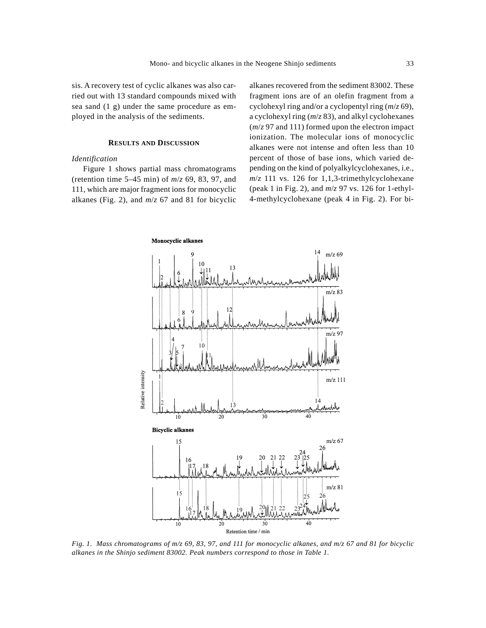sis. A recovery test of cyclic alkanes was also carried out with 13 standard compounds mixed with sea sand (1 g) under the same procedure as employed in the analysis of the sediments.

# **RESULTS AND DISCUSSION**

## *Identification*

Figure 1 shows partial mass chromatograms (retention time 5–45 min) of *m*/*z* 69, 83, 97, and 111, which are major fragment ions for monocyclic alkanes (Fig. 2), and  $m/z$  67 and 81 for bicyclic alkanes recovered from the sediment 83002. These fragment ions are of an olefin fragment from a cyclohexyl ring and/or a cyclopentyl ring (*m*/*z* 69), a cyclohexyl ring (*m*/*z* 83), and alkyl cyclohexanes  $(m/z)$  97 and 111) formed upon the electron impact ionization. The molecular ions of monocyclic alkanes were not intense and often less than 10 percent of those of base ions, which varied depending on the kind of polyalkylcyclohexanes, i.e.,  $m/z$  111 vs. 126 for 1,1,3-trimethylcyclohexane (peak 1 in Fig. 2), and *m*/*z* 97 vs. 126 for 1-ethyl-4-methylcyclohexane (peak 4 in Fig. 2). For bi-



*Fig. 1. Mass chromatograms of m/z 69, 83, 97, and 111 for monocyclic alkanes, and m/z 67 and 81 for bicyclic alkanes in the Shinjo sediment 83002. Peak numbers correspond to those in Table 1.*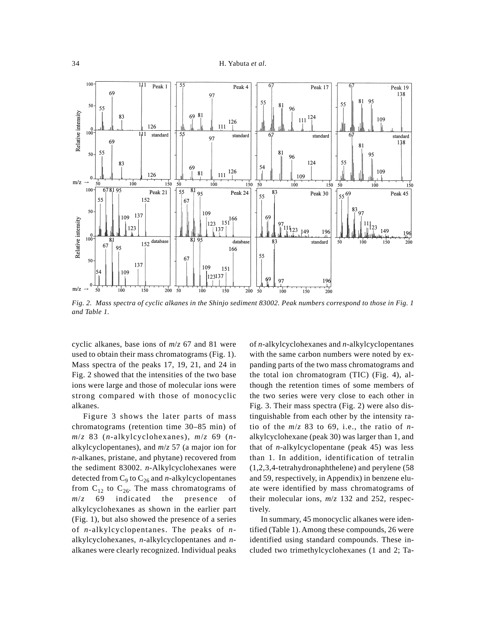

*Fig. 2. Mass spectra of cyclic alkanes in the Shinjo sediment 83002. Peak numbers correspond to those in Fig. 1 and Table 1.*

cyclic alkanes, base ions of *m*/*z* 67 and 81 were used to obtain their mass chromatograms (Fig. 1). Mass spectra of the peaks 17, 19, 21, and 24 in Fig. 2 showed that the intensities of the two base ions were large and those of molecular ions were strong compared with those of monocyclic alkanes.

Figure 3 shows the later parts of mass chromatograms (retention time 30–85 min) of *m*/*z* 83 (*n*-alkylcyclohexanes), *m*/*z* 69 (*n*alkylcyclopentanes), and *m*/*z* 57 (a major ion for *n*-alkanes, pristane, and phytane) recovered from the sediment 83002. *n*-Alkylcyclohexanes were detected from  $C_9$  to  $C_{26}$  and *n*-alkylcyclopentanes from  $C_{12}$  to  $C_{26}$ . The mass chromatograms of *m*/*z* 69 indicated the presence of alkylcyclohexanes as shown in the earlier part (Fig. 1), but also showed the presence of a series of *n*-alkylcyclopentanes. The peaks of *n*alkylcyclohexanes, *n*-alkylcyclopentanes and *n*alkanes were clearly recognized. Individual peaks of *n*-alkylcyclohexanes and *n*-alkylcyclopentanes with the same carbon numbers were noted by expanding parts of the two mass chromatograms and the total ion chromatogram (TIC) (Fig. 4), although the retention times of some members of the two series were very close to each other in Fig. 3. Their mass spectra (Fig. 2) were also distinguishable from each other by the intensity ratio of the  $m/z$  83 to 69, i.e., the ratio of  $n$ alkylcyclohexane (peak 30) was larger than 1, and that of *n*-alkylcyclopentane (peak 45) was less than 1. In addition, identification of tetralin (1,2,3,4-tetrahydronaphthelene) and perylene (58 and 59, respectively, in Appendix) in benzene eluate were identified by mass chromatograms of their molecular ions, *m*/*z* 132 and 252, respectively.

In summary, 45 monocyclic alkanes were identified (Table 1). Among these compounds, 26 were identified using standard compounds. These included two trimethylcyclohexanes (1 and 2; Ta-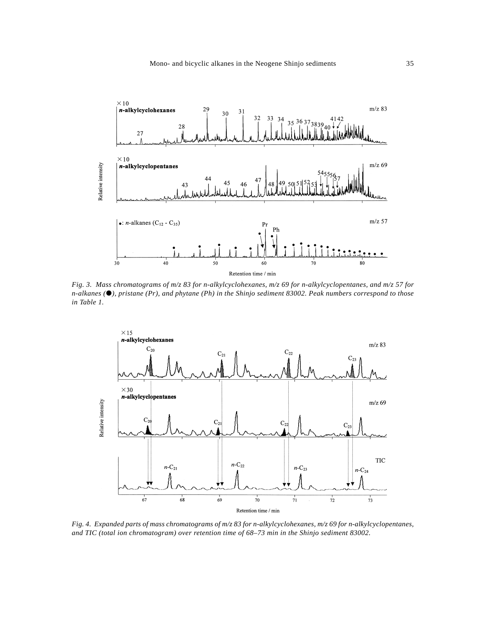

*Fig. 3. Mass chromatograms of m/z 83 for n-alkylcyclohexanes, m/z 69 for n-alkylcyclopentanes, and m/z 57 for n-alkanes (), pristane (Pr), and phytane (Ph) in the Shinjo sediment 83002. Peak numbers correspond to those in Table 1.*



*Fig. 4. Expanded parts of mass chromatograms of m/z 83 for n-alkylcyclohexanes, m/z 69 for n-alkylcyclopentanes, and TIC (total ion chromatogram) over retention time of 68–73 min in the Shinjo sediment 83002.*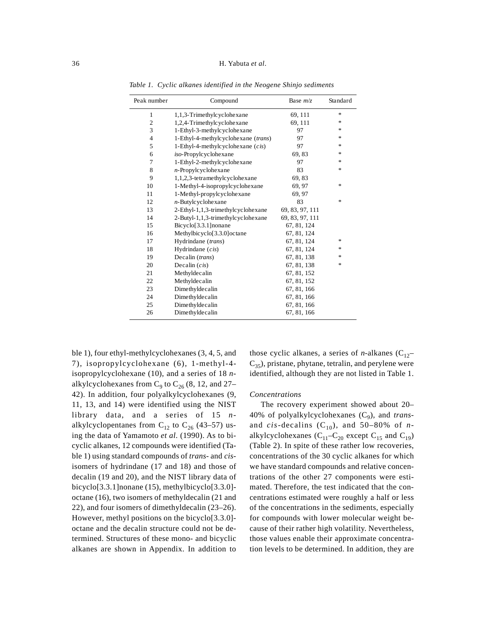| Peak number    | Compound                            | Base $m/z$      | Standard |
|----------------|-------------------------------------|-----------------|----------|
| 1              | 1,1,3-Trimethylcyclohexane          | 69, 111         | $\ast$   |
| $\mathfrak{2}$ | 1,2,4-Trimethylcyclohexane          | 69, 111         | *        |
| 3              | 1-Ethyl-3-methylcyclohexane         | 97              | $\ast$   |
| $\overline{4}$ | 1-Ethyl-4-methylcyclohexane (trans) | 97              | $*$      |
| 5              | 1-Ethyl-4-methylcyclohexane $(cis)$ | 97              | $\ast$   |
| 6              | $iso$ -Propylcyclohexane            | 69, 83          | *        |
| 7              | 1-Ethyl-2-methylcyclohexane         | 97              | *        |
| 8              | $n$ -Propylcyclohexane              | 83              | $\ast$   |
| 9              | 1,1,2,3-tetramethylcyclohexane      | 69, 83          |          |
| 10             | 1-Methyl-4-isopropylcyclohexane     | 69, 97          | $\ast$   |
| 11             | 1-Methyl-propylcyclohexane          | 69.97           |          |
| 12             | $n$ -Butylcyclohexane               | 83              | $*$      |
| 13             | 2-Ethyl-1,1,3-trimethylcyclohexane  | 69, 83, 97, 111 |          |
| 14             | 2-Butyl-1,1,3-trimethylcyclohexane  | 69, 83, 97, 111 |          |
| 15             | Bicyclo[3.3.1] nonane               | 67, 81, 124     |          |
| 16             | Methylbicyclo[3.3.0] octane         | 67, 81, 124     |          |
| 17             | Hydrindane (trans)                  | 67, 81, 124     | $\ast$   |
| 18             | Hydrindane $(cis)$                  | 67, 81, 124     | $\ast$   |
| 19             | Decalin (trans)                     | 67, 81, 138     | $\ast$   |
| 20             | Decalin $(cis)$                     | 67, 81, 138     | $\ast$   |
| 21             | Methyldecalin                       | 67, 81, 152     |          |
| 22             | Methyldecalin                       | 67, 81, 152     |          |
| 23             | Dimethyldecalin                     | 67, 81, 166     |          |
| 24             | Dimethyldecalin                     | 67, 81, 166     |          |
| 25             | Dimethyldecalin                     | 67, 81, 166     |          |
| 26             | Dimethyldecalin                     | 67, 81, 166     |          |

*Table 1. Cyclic alkanes identified in the Neogene Shinjo sediments*

ble 1), four ethyl-methylcyclohexanes (3, 4, 5, and 7), isopropylcyclohexane (6), 1-methyl-4 isopropylcyclohexane (10), and a series of 18 *n*alkylcyclohexanes from  $C_9$  to  $C_{26}$  (8, 12, and 27– 42). In addition, four polyalkylcyclohexanes (9, 11, 13, and 14) were identified using the NIST library data, and a series of 15 *n*alkylcyclopentanes from  $C_{12}$  to  $C_{26}$  (43–57) using the data of Yamamoto *et al*. (1990). As to bicyclic alkanes, 12 compounds were identified (Table 1) using standard compounds of *trans*- and *cis*isomers of hydrindane (17 and 18) and those of decalin (19 and 20), and the NIST library data of bicyclo[3.3.1]nonane (15), methylbicyclo[3.3.0] octane (16), two isomers of methyldecalin (21 and 22), and four isomers of dimethyldecalin (23–26). However, methyl positions on the bicyclo[3.3.0] octane and the decalin structure could not be determined. Structures of these mono- and bicyclic alkanes are shown in Appendix. In addition to

those cyclic alkanes, a series of *n*-alkanes  $(C_{12}$ –  $C_{35}$ ), pristane, phytane, tetralin, and perylene were identified, although they are not listed in Table 1.

#### *Concentrations*

The recovery experiment showed about 20– 40% of polyalkylcyclohexanes  $(C_9)$ , and *trans*and *cis*-decalins  $(C_{10})$ , and 50–80% of *n*alkylcyclohexanes  $(C_{11}-C_{20}$  except  $C_{15}$  and  $C_{19}$ ) (Table 2). In spite of these rather low recoveries, concentrations of the 30 cyclic alkanes for which we have standard compounds and relative concentrations of the other 27 components were estimated. Therefore, the test indicated that the concentrations estimated were roughly a half or less of the concentrations in the sediments, especially for compounds with lower molecular weight because of their rather high volatility. Nevertheless, those values enable their approximate concentration levels to be determined. In addition, they are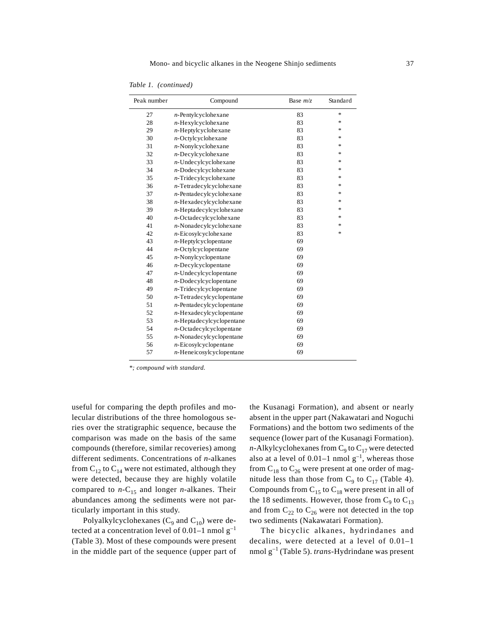| Peak number | Compound                    | Base $m/z$ | Standard |
|-------------|-----------------------------|------------|----------|
| 27          | $n$ -Pentylcyclohexane      | 83         | ∗        |
| 28          | $n$ -Hexylcyclohexane       | 83         | *        |
| 29          | $n$ -Heptylcyclohexane      | 83         | *        |
| 30          | $n$ -Octylcyclohexane       | 83         | *        |
| 31          | $n$ -Nonylcyclohexane       | 83         | ∗        |
| 32          | $n$ -Decylcyclohexane       | 83         | *        |
| 33          | $n$ -Undecylcyclohexane     | 83         | ∗        |
| 34          | $n$ -Dodecylcyclohexane     | 83         | *        |
| 35          | $n$ -Tridecylcyclohexane    | 83         | *        |
| 36          | $n$ -Tetradecylcyclohexane  | 83         | *        |
| 37          | $n$ -Pentadecylcyclohexane  | 83         | ∗        |
| 38          | $n$ -Hexadecylcyclohexane   | 83         | *        |
| 39          | $n$ -Heptadecylcyclohexane  | 83         | ∗        |
| 40          | $n$ -Octadecylcyclohexane   | 83         | *        |
| 41          | $n$ -Nonadecylcyclohexane   | 83         | *        |
| 42          | $n$ -Eicosylcyclohexane     | 83         | *        |
| 43          | $n$ -Heptylcyclopentane     | 69         |          |
| 44          | $n$ -Octylcyclopentane      | 69         |          |
| 45          | $n$ -Nonylcyclopentane      | 69         |          |
| 46          | $n$ -Decylcyclopentane      | 69         |          |
| 47          | $n$ -Undecylcyclopentane    | 69         |          |
| 48          | $n$ -Dodecylcyclopentane    | 69         |          |
| 49          | $n$ -Tridecylcyclopentane   | 69         |          |
| 50          | $n$ -Tetradecylcyclopentane | 69         |          |
| 51          | $n$ -Pentadecylcyclopentane | 69         |          |
| 52          | $n$ -Hexadecylcyclopentane  | 69         |          |
| 53          | $n$ -Heptadecylcyclopentane | 69         |          |
| 54          | $n$ -Octadecylcyclopentane  | 69         |          |
| 55          | $n$ -Nonadecylcyclopentane  | 69         |          |
| 56          | $n$ -Eicosylcyclopentane    | 69         |          |
| 57          | $n$ -Heneicosylcyclopentane | 69         |          |

*Table 1. (continued)*

*\*; compound with standard.*

useful for comparing the depth profiles and molecular distributions of the three homologous series over the stratigraphic sequence, because the comparison was made on the basis of the same compounds (therefore, similar recoveries) among different sediments. Concentrations of *n*-alkanes from  $C_{12}$  to  $C_{14}$  were not estimated, although they were detected, because they are highly volatile compared to  $n-C_{15}$  and longer *n*-alkanes. Their abundances among the sediments were not particularly important in this study.

Polyalkylcyclohexanes  $(C_9$  and  $C_{10}$ ) were detected at a concentration level of  $0.01-1$  nmol  $g^{-1}$ (Table 3). Most of these compounds were present in the middle part of the sequence (upper part of the Kusanagi Formation), and absent or nearly absent in the upper part (Nakawatari and Noguchi Formations) and the bottom two sediments of the sequence (lower part of the Kusanagi Formation). *n*-Alkylcyclohexanes from  $C_9$  to  $C_{17}$  were detected also at a level of  $0.01-1$  nmol  $g^{-1}$ , whereas those from  $C_{18}$  to  $C_{26}$  were present at one order of magnitude less than those from  $C_9$  to  $C_{17}$  (Table 4). Compounds from  $C_{15}$  to  $C_{18}$  were present in all of the 18 sediments. However, those from  $C_9$  to  $C_{13}$ and from  $C_{22}$  to  $C_{26}$  were not detected in the top two sediments (Nakawatari Formation).

The bicyclic alkanes, hydrindanes and decalins, were detected at a level of 0.01–1 nmol g–1 (Table 5). *trans*-Hydrindane was present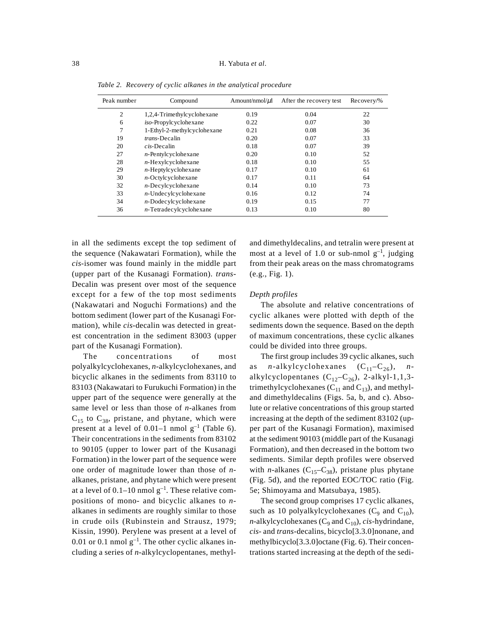| Peak number    | Compound                    | Amount/nmol/ $\mu$ l | After the recovery test | Recovery/% |
|----------------|-----------------------------|----------------------|-------------------------|------------|
| $\overline{2}$ | 1,2,4-Trimethylcyclohexane  | 0.19                 | 0.04                    | 22         |
| 6              | iso-Propylcyclohexane       | 0.22                 | 0.07                    | 30         |
| 7              | 1-Ethyl-2-methylcyclohexane | 0.21                 | 0.08                    | 36         |
| 19             | <i>trans</i> -Decalin       | 0.20                 | 0.07                    | 33         |
| 20             | $cis$ -Decalin              | 0.18                 | 0.07                    | 39         |
| 27             | $n$ -Pentylcyclohexane      | 0.20                 | 0.10                    | 52         |
| 28             | $n$ -Hexylcyclohexane       | 0.18                 | 0.10                    | 55         |
| 29             | $n$ -Heptylcyclohexane      | 0.17                 | 0.10                    | 61         |
| 30             | $n$ -Octylcyclohexane       | 0.17                 | 0.11                    | 64         |
| 32             | $n$ -Decylcyclohexane       | 0.14                 | 0.10                    | 73         |
| 33             | $n$ -Undecylcyclohexane     | 0.16                 | 0.12                    | 74         |
| 34             | $n$ -Dodecylcyclohexane     | 0.19                 | 0.15                    | 77         |
| 36             | $n$ -Tetradecylcyclohexane  | 0.13                 | 0.10                    | 80         |

*Table 2. Recovery of cyclic alkanes in the analytical procedure*

in all the sediments except the top sediment of the sequence (Nakawatari Formation), while the *cis*-isomer was found mainly in the middle part (upper part of the Kusanagi Formation). *trans*-Decalin was present over most of the sequence except for a few of the top most sediments (Nakawatari and Noguchi Formations) and the bottom sediment (lower part of the Kusanagi Formation), while *cis*-decalin was detected in greatest concentration in the sediment 83003 (upper part of the Kusanagi Formation).

The concentrations of most polyalkylcyclohexanes, *n*-alkylcyclohexanes, and bicyclic alkanes in the sediments from 83110 to 83103 (Nakawatari to Furukuchi Formation) in the upper part of the sequence were generally at the same level or less than those of *n*-alkanes from  $C_{15}$  to  $C_{38}$ , pristane, and phytane, which were present at a level of  $0.01-1$  nmol  $g^{-1}$  (Table 6). Their concentrations in the sediments from 83102 to 90105 (upper to lower part of the Kusanagi Formation) in the lower part of the sequence were one order of magnitude lower than those of *n*alkanes, pristane, and phytane which were present at a level of  $0.1-10$  nmol  $g^{-1}$ . These relative compositions of mono- and bicyclic alkanes to *n*alkanes in sediments are roughly similar to those in crude oils (Rubinstein and Strausz, 1979; Kissin, 1990). Perylene was present at a level of 0.01 or 0.1 nmol  $g^{-1}$ . The other cyclic alkanes including a series of *n*-alkylcyclopentanes, methyland dimethyldecalins, and tetralin were present at most at a level of 1.0 or sub-nmol  $g^{-1}$ , judging from their peak areas on the mass chromatograms (e.g., Fig. 1).

# *Depth profiles*

The absolute and relative concentrations of cyclic alkanes were plotted with depth of the sediments down the sequence. Based on the depth of maximum concentrations, these cyclic alkanes could be divided into three groups.

The first group includes 39 cyclic alkanes, such as *n*-alkylcyclohexanes  $(C_{11}-C_{26})$ , *n*alkylcyclopentanes  $(C_{12}-C_{26})$ , 2-alkyl-1,1,3trimethylcyclohexanes  $(C_{11}$  and  $C_{13}$ ), and methyland dimethyldecalins (Figs. 5a, b, and c). Absolute or relative concentrations of this group started increasing at the depth of the sediment 83102 (upper part of the Kusanagi Formation), maximised at the sediment 90103 (middle part of the Kusanagi Formation), and then decreased in the bottom two sediments. Similar depth profiles were observed with *n*-alkanes  $(C_{15}-C_{38})$ , pristane plus phytane (Fig. 5d), and the reported EOC/TOC ratio (Fig. 5e; Shimoyama and Matsubaya, 1985).

The second group comprises 17 cyclic alkanes, such as 10 polyalkylcyclohexanes  $(C_9$  and  $C_{10}$ ),  $n$ -alkylcyclohexanes ( $C_9$  and  $C_{10}$ ), *cis*-hydrindane, *cis*- and *trans*-decalins, bicyclo[3.3.0]nonane, and methylbicyclo[3.3.0]octane (Fig. 6). Their concentrations started increasing at the depth of the sedi-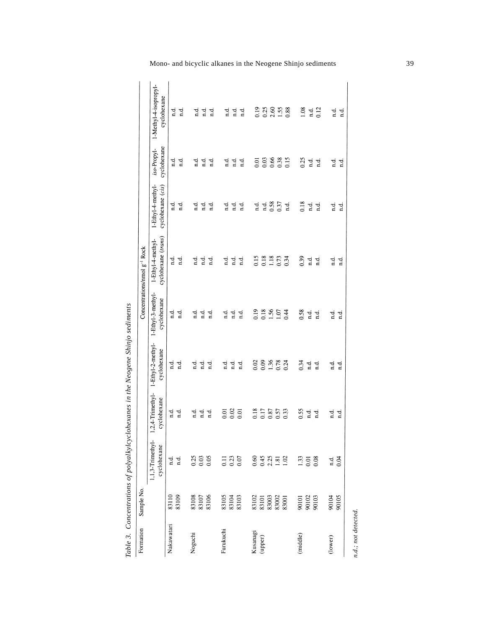| Formation  | Sample No.                       |                                 |                                 |                                  |                                  |                                                                                      |                   |             |                       |
|------------|----------------------------------|---------------------------------|---------------------------------|----------------------------------|----------------------------------|--------------------------------------------------------------------------------------|-------------------|-------------|-----------------------|
|            |                                  | 1,1,3-Trimethyl-<br>cyclohexane | 1,2,4-Trimethyl-<br>cyclohexane | 1-Ethyl-2-methyl-<br>cyclohexane | 1-Ethyl-3-methyl-<br>cyclohexane | cyclohexane (trans)<br>1-Ethyl-4-methyl-<br>Concentrations/nmol g <sup>-1</sup> Rock | 1-Ethyl-4-methyl- | iso-Propyl- | 1-Methyl-4-isopropyl- |
| Nakawatari | 83110                            | n.d.                            | n.d                             |                                  |                                  |                                                                                      | cyclohexane (cis) | cyclohexane | cyclohexane           |
|            |                                  |                                 |                                 | n.d.                             | ч.<br>п                          | n.d.                                                                                 | n.d.              | ਰ<br>ਸ      | n.d                   |
|            | 83109                            | n.d.                            | г.<br>Ц                         | n.d.                             | r.q                              | n.d.                                                                                 | n.d               | ہے<br>¤     | n.d                   |
| Noguchi    |                                  | 0.25                            | n.d                             | n.d.                             | $\frac{1}{2}$                    | n.d                                                                                  | n d.              | d.<br>E     | n.d                   |
|            | 83108<br>83107<br>83106          | 0.03                            | n.d.                            | n.d.                             | n d.                             | n.d                                                                                  | n.d               | n.d         | $\frac{d}{n}$         |
|            |                                  |                                 | n.d                             | n.d                              | ਦੇ<br>ਸ                          | n.d                                                                                  | نه<br>¤           | ن<br>¤      | n.d                   |
| Furukuchi  |                                  | $\overline{a}$                  | $\overline{0}$                  | n.d.                             | d.                               | n.d.                                                                                 | n.d               | n.d         | n.d                   |
|            | 83105<br>83104<br>83103          | 0.23                            | 0.02                            | n.d.                             | n.<br>T                          | n.d.                                                                                 | d.                | $\vec{a}$   | $\vec{a}$             |
|            |                                  |                                 | 0.01                            | n.d.                             | بہ<br>¤                          | n.d                                                                                  | nd.               | d.          | $\vec{a}$             |
| Kusanagi   |                                  |                                 | 0.18                            | 0.02                             | 0.19                             | 0.15                                                                                 | d.                | 0.01        | 0.19                  |
| (upper)    | 83101<br>83063<br>83062<br>83062 | 6<br>645<br>0213<br>1102        | 0.17                            | 0.09                             | 0.18                             | 0.18                                                                                 | n.d.              | 0.03        | 0.25                  |
|            |                                  |                                 | 0.87                            | 1.36                             | 1.56                             | 1.18                                                                                 | 0.58              | 0.66        | 2.60                  |
|            |                                  |                                 | 0.57                            | 0.78                             | 1.07                             | 0.73                                                                                 | 0.37              | 0.38        | 1.55                  |
|            |                                  |                                 | 0.33                            | 0.24                             | 0.44                             | 0.34                                                                                 | n.<br>T           | 0.15        | 0.88                  |
| (middle)   |                                  | 1.33                            | 0.55                            | 0.34                             | 0.58                             | 0.39                                                                                 | 0.18              | 0.25        | 1.08                  |
|            | 90101<br>90102<br>90103          | 0.01                            | n.d.                            | n d.                             | nd.                              | n.d.                                                                                 | n.d.              | n d.        | n.d.                  |
|            |                                  | 0.08                            | n.d                             | n.d.                             | ਰ<br>ਜ                           | r.q                                                                                  | d.                | n.d.        | 0.12                  |
| (lower)    | 90104<br>90105                   | $\frac{d}{d}$ of                | d.                              | n.d.                             | n.d                              | n.d.                                                                                 | n.d.              | n.d.        | n.d                   |
|            |                                  |                                 | n.d                             | nd.                              | nd.                              | n.d                                                                                  | n.d               | $\vec{a}$   | n.d                   |

Table 3. Concentrations of polyalkylcyclohexanes in the Neogene Shinjo sediments *Table 3. Concentrations of polyalkylcyclohexanes in the Neogene Shinjo sediments*

Mono- and bicyclic alkanes in the Neogene Shinjo sediments 39

 $n.d$ ; not detected. *n.d.; not detected.*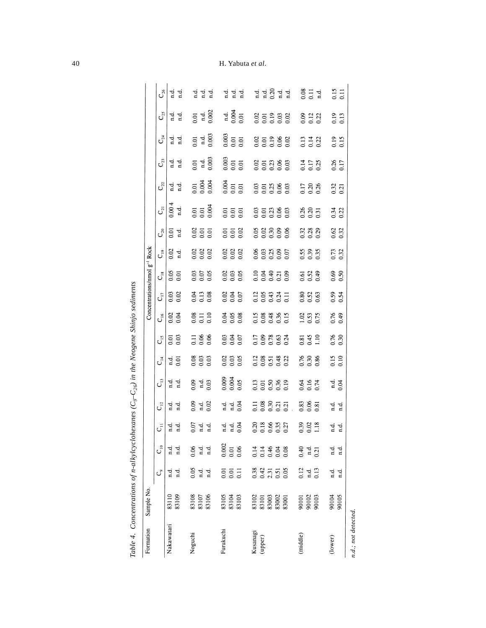| Formation           | Sample No.                                |                                               |                          |                                |                                              |                              |                                                                                          |                                             |                      |                         | Concentrations/nmol g <sup>-1</sup> Rock    |                      |                            |                                                |                                                |                                                      |                       |                                             |                                         |
|---------------------|-------------------------------------------|-----------------------------------------------|--------------------------|--------------------------------|----------------------------------------------|------------------------------|------------------------------------------------------------------------------------------|---------------------------------------------|----------------------|-------------------------|---------------------------------------------|----------------------|----------------------------|------------------------------------------------|------------------------------------------------|------------------------------------------------------|-----------------------|---------------------------------------------|-----------------------------------------|
|                     |                                           | ڻ                                             | $C_{10}$                 | $\vec{c}$                      | $C_{12}$                                     | $\tilde{\zeta}$              | $\vec{C}$                                                                                | ڗؖ                                          | م<br>م               | $C_{12}$                | $\tilde{C}$                                 | ငံ                   | $C_{20}$                   | $C_{\bar{2}1}$                                 | $C_{22}$                                       | $C_{23}$                                             | $C_{24}$              | $C_{25}$                                    | $C_{26}$                                |
| Nakawatari          | 83109<br>83110                            | d<br>d                                        | d.<br>E<br>ਰ<br>¤        | 'n.<br>n.d                     | d.<br>E<br>n.d                               | ч.<br>$\vec{a}$              | $\overline{5}$<br>n.d.                                                                   | 0.03<br>$\overline{5}$                      | 0.04                 | 0.02<br>0.03            | 0.05<br>0.01                                | 0.02<br>n.d          | $\overline{0.0}$<br>n.d    | 0.004<br>n d.                                  | d.<br>$\overline{\mathbf{a}}$                  | n.d<br>d.                                            | n.d<br>Рч<br>П        | $\frac{1}{2}$<br>n d                        | пd.<br>$\vec{a}$                        |
| Noguchi             | 83108<br>83107<br>83106                   | 0.05<br>$\vec{n}$ .<br>nd.                    | $\frac{0.06}{n}$<br>n.d. | 0.07<br>n.d<br>$\vec{a}$       | 0.09<br>$\frac{1}{2}$ .02                    | 0.03<br>0.03                 | 8<br>0.03<br>0.0                                                                         | $\frac{1188}{200}$                          | $0.10$<br>$0.10$     | 3. 13<br>0. 13<br>0. 10 |                                             | 0.02<br>0.02<br>0.0  | 8<br>8<br>8<br>8<br>8<br>8 | 0.004<br>$\frac{0.01}{0.01}$                   | 0.01<br>0.004<br>0.004                         | $\frac{nd}{1003}$<br>0.01                            | 0.01<br>n.d.<br>0.003 | $\frac{nd}{1000}$<br>5.01                   | $\vec{a}$<br>ਰੂਂ ਰੂਂ<br>ਜ਼              |
| Furukuchi           | 83105<br>83103<br>83103                   | $\begin{array}{c} 5 & 5 \\ 0 & 5 \end{array}$ |                          | 0.04<br>$\vec{a}$<br>$\vec{a}$ | $\frac{d}{d}$<br>n.d                         | $0.006$<br>$0.004$<br>$0.05$ | 8<br>8<br>8<br>8<br>8<br>8                                                               | 835<br>0.00                                 | 3.58<br>0.0.0        | 8 3 5<br>0 3 6          | 8<br>8<br>8<br>8<br>8<br>8                  | 0.02<br>0.02         | 0.01<br>0.01<br>0.02       | 0.01<br>0.01<br>0.01                           | $0.004$<br>$0.01$                              | $\begin{array}{c} 0.003 \\ 0.01 \\ 0.01 \end{array}$ | $0.003$<br>$0.01$     | $^{nd}_{0.004}$                             | $\vec{a}$<br>$\vec{a}$<br>$\frac{1}{2}$ |
| Kusanagi<br>(upper) | 83102<br>83101<br>83003<br>83002<br>83001 | 38<br>0.47<br>0.51<br>0.05                    | $0.14808$<br>$0.0000$    | $0.18$<br>0.35<br>0.20<br>0.27 | 0.08<br>$\frac{0.30}{0.21}$<br>$\Xi$<br>0.21 | 13<br>0.05<br>0.03<br>0.19   | $\begin{smallmatrix} 12 & 8 & 5 & 3 \\ 0 & 0 & 5 & 3 \\ 0 & 0 & 0 & 0 \end{smallmatrix}$ | 178834<br>1888                              | 13<br>1333<br>1500   | 28771                   | 23823<br>23823                              | 883385<br>000000     | 33838<br>00000             | 8<br>8<br>8<br>8<br>8<br>8<br>8<br>8<br>8<br>8 | 8<br>8<br>8<br>8<br>8<br>8<br>8<br>8<br>8<br>8 | 8<br>8<br>8<br>8<br>8<br>8<br>8<br>8<br>8            | 85288<br>86588        | 8<br>8<br>8<br>8<br>8<br>8<br>8<br>8<br>8   | ਰ ਰੂ 3 ਰੂ<br><u>ਹੋ ਹੋ ਰੂ</u><br>nd.     |
| (middle)            | 90101<br>90102<br>90103                   | $0.12$<br>nd.<br>$0.13$                       | 0.40<br>$\frac{nd}{21}$  | $0.02$<br>1.18<br>0.39         | 0.83<br>$\overline{0.81}$                    | 0.16<br>0.16<br>0.71         | $0.38$<br>0.30                                                                           | $0.45$<br>$-1.10$                           | 1.85<br>0.55<br>0.51 | 8 8 8<br>0 9 8          | 5 8 <del>9</del><br>5 9 9                   | 3.39<br>3.39<br>3.35 | 33<br>233<br>22            | ಕ್ಷೆ ಕ್ಷ<br>೧೯೮                                | 17<br>0.20<br>0.26                             | 14<br>0.17<br>0.25                                   | 0.13<br>0.14<br>0.22  | 8 2 3<br>0 . 2 3<br>0 . 2 3                 | $0.08$<br>$0.11$<br>$n.d.$              |
| (lower)             | 90104<br>90105                            | $\vec{a}$<br>nd.                              | $\vec{a}$<br>٦d<br>¤     | n.d.<br>$\vec{a}$              | ਰੂਂ ਰੂਂ<br>ਜ                                 | $\frac{d}{d}$                | $\begin{array}{c} 0.15 \\ 0.10 \end{array}$                                              | $\begin{array}{c} 0.76 \\ 0.30 \end{array}$ | 0.76<br>0.49         | $0.59$<br>0.54          | $\begin{array}{c} 0.50 \\ 0.50 \end{array}$ | 0.73                 | $\frac{0.62}{0.32}$        | 0.34<br>0.22                                   | $\frac{0.32}{0.21}$                            | 0.17                                                 | 0.19<br>0.15          | $\begin{array}{c} 0.19 \\ 0.13 \end{array}$ | 0.15<br>$\overline{0}$ .                |
| n.d.; not detected. |                                           |                                               |                          |                                |                                              |                              |                                                                                          |                                             |                      |                         |                                             |                      |                            |                                                |                                                |                                                      |                       |                                             |                                         |

Table 4. Concentrations of n-alkylcyclohexanes  $(C_9-C_{26})$  in the Neogene Shinjo sediments *C26) in the Neogene Shinjo sediments Table 4. Concentrations of n-alkylcyclohexanes (C9–*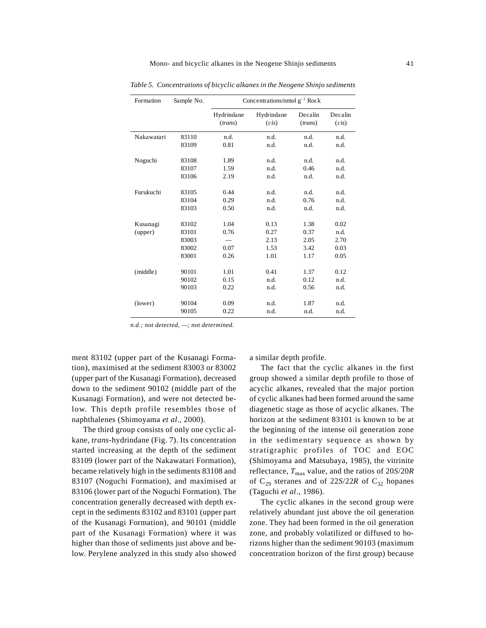| Formation  | Sample No. |                       | Concentrations/nmol $g^{-1}$ Rock |                             |                  |
|------------|------------|-----------------------|-----------------------------------|-----------------------------|------------------|
|            |            | Hydrindane<br>(trans) | Hydrindane<br>(cis)               | Decalin<br>( <i>trans</i> ) | Decalin<br>(cis) |
| Nakawatari | 83110      | n.d.                  | n.d.                              | n.d.                        | n.d.             |
|            | 83109      | 0.81                  | n.d.                              | n.d.                        | n.d.             |
| Noguchi    | 83108      | 1.89                  | n.d.                              | n.d.                        | n.d.             |
|            | 83107      | 1.59                  | n.d.                              | 0.46                        | n.d.             |
|            | 83106      | 2.19                  | n.d.                              | n.d.                        | n.d.             |
| Furukuchi  | 83105      | 0.44                  | n.d.                              | n.d.                        | n.d.             |
|            | 83104      | 0.29                  | n.d.                              | 0.76                        | n.d.             |
|            | 83103      | 0.50                  | n.d.                              | n.d.                        | n.d.             |
| Kusanagi   | 83102      | 1.04                  | 0.13                              | 1.38                        | 0.02             |
| (upper)    | 83101      | 0.76                  | 0.27                              | 0.37                        | n.d.             |
|            | 83003      |                       | 2.13                              | 2.05                        | 2.70             |
|            | 83002      | 0.07                  | 1.53                              | 3.42                        | 0.03             |
|            | 83001      | 0.26                  | 1.01                              | 1.17                        | 0.05             |
| (middle)   | 90101      | 1.01                  | 0.41                              | 1.37                        | 0.12             |
|            | 90102      | 0.15                  | n.d.                              | 0.12                        | n.d.             |
|            | 90103      | 0.22                  | n.d.                              | 0.56                        | n.d.             |

(lower) 90104 0.09 n.d. 1.87 n.d.

90105 0.22 n.d. n.d. n.d.

*Table 5. Concentrations of bicyclic alkanes in the Neogene Shinjo sediments*

*n.d.; not detected, —; not determined.*

ment 83102 (upper part of the Kusanagi Formation), maximised at the sediment 83003 or 83002 (upper part of the Kusanagi Formation), decreased down to the sediment 90102 (middle part of the Kusanagi Formation), and were not detected below. This depth profile resembles those of naphthalenes (Shimoyama *et al*., 2000).

The third group consists of only one cyclic alkane, *trans*-hydrindane (Fig. 7). Its concentration started increasing at the depth of the sediment 83109 (lower part of the Nakawatari Formation), became relatively high in the sediments 83108 and 83107 (Noguchi Formation), and maximised at 83106 (lower part of the Noguchi Formation). The concentration generally decreased with depth except in the sediments 83102 and 83101 (upper part of the Kusanagi Formation), and 90101 (middle part of the Kusanagi Formation) where it was higher than those of sediments just above and below. Perylene analyzed in this study also showed a similar depth profile.

The fact that the cyclic alkanes in the first group showed a similar depth profile to those of acyclic alkanes, revealed that the major portion of cyclic alkanes had been formed around the same diagenetic stage as those of acyclic alkanes. The horizon at the sediment 83101 is known to be at the beginning of the intense oil generation zone in the sedimentary sequence as shown by stratigraphic profiles of TOC and EOC (Shimoyama and Matsubaya, 1985), the vitrinite reflectance,  $T_{\text{max}}$  value, and the ratios of  $20S/20R$ of  $C_{29}$  steranes and of 22*S*/22*R* of  $C_{32}$  hopanes (Taguchi *et al*., 1986).

The cyclic alkanes in the second group were relatively abundant just above the oil generation zone. They had been formed in the oil generation zone, and probably volatilized or diffused to horizons higher than the sediment 90103 (maximum concentration horizon of the first group) because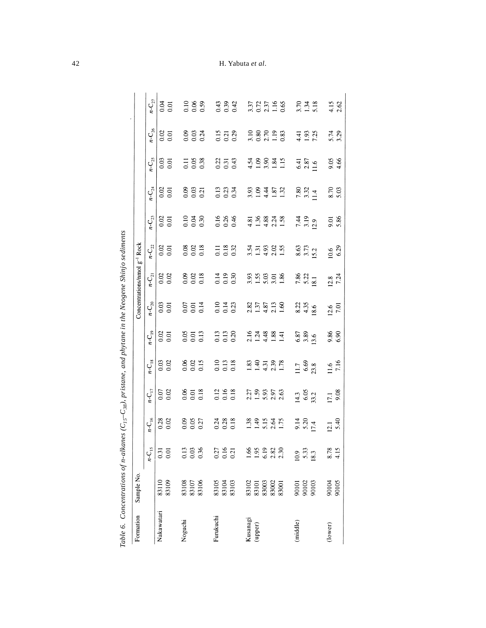| Formation  |                                           |                                             |                                                           |                                                                              |                                                                             |                                                                                |                                                                              |                                                                                        |                      |                                                   |                                                                              |                                                                                                                                                                                                                                                                                                   |                                                                                                  |                                       |
|------------|-------------------------------------------|---------------------------------------------|-----------------------------------------------------------|------------------------------------------------------------------------------|-----------------------------------------------------------------------------|--------------------------------------------------------------------------------|------------------------------------------------------------------------------|----------------------------------------------------------------------------------------|----------------------|---------------------------------------------------|------------------------------------------------------------------------------|---------------------------------------------------------------------------------------------------------------------------------------------------------------------------------------------------------------------------------------------------------------------------------------------------|--------------------------------------------------------------------------------------------------|---------------------------------------|
|            | Sample No.                                |                                             |                                                           |                                                                              |                                                                             |                                                                                |                                                                              | Concentrations/nmol g <sup>-1</sup> Rock                                               |                      |                                                   |                                                                              |                                                                                                                                                                                                                                                                                                   |                                                                                                  |                                       |
|            |                                           | $n-C_{15}$                                  | $n-C_{16}$                                                | $n-C_{17}$                                                                   | $n-C_{18}$                                                                  | $\overline{C}_{19}$                                                            | $n-C_{20}$                                                                   | $n-C_{21}$                                                                             | $n - C_{22}$         | $r-C_{23}$                                        | $r_{-}C_{24}$                                                                | $1-C_{25}$                                                                                                                                                                                                                                                                                        | $1 - C_{26}$                                                                                     | $n-C_{27}$                            |
| Nakawatari | 83110                                     | 0.31                                        |                                                           | 0.07                                                                         | 0.03                                                                        | 0.02                                                                           | 0.03                                                                         | 0.02                                                                                   | 0.02                 | 0.02                                              |                                                                              |                                                                                                                                                                                                                                                                                                   |                                                                                                  |                                       |
|            | 83109                                     | $\overline{0}$ .01                          | 0.28                                                      |                                                                              |                                                                             |                                                                                |                                                                              |                                                                                        |                      |                                                   | 0.02                                                                         | 0.03                                                                                                                                                                                                                                                                                              | $\frac{0.02}{0.01}$                                                                              | 0.01                                  |
| Noguchi    |                                           | $\begin{array}{c} 0.13 \\ 0.03 \end{array}$ |                                                           | $0.06$<br>$0.01$<br>$0.18$                                                   |                                                                             |                                                                                |                                                                              |                                                                                        |                      |                                                   |                                                                              |                                                                                                                                                                                                                                                                                                   |                                                                                                  |                                       |
|            | 83108<br>83107<br>83106                   |                                             |                                                           |                                                                              | 8825<br>0.00                                                                | $\begin{array}{c} 0.05 \\ 0.01 \\ 0.13 \end{array}$                            | $0.07$<br>$0.07$                                                             | $0.02$<br>$0.18$                                                                       |                      | 238                                               |                                                                              |                                                                                                                                                                                                                                                                                                   |                                                                                                  |                                       |
|            |                                           | 0.36                                        |                                                           |                                                                              |                                                                             |                                                                                |                                                                              |                                                                                        |                      |                                                   | $0.33$<br>$0.31$                                                             | $\frac{11}{0.05}$                                                                                                                                                                                                                                                                                 | $0.03$<br>0.03                                                                                   |                                       |
| Furukuchi  | 83105<br>83104<br>83103                   | $0.27$<br>$0.16$                            |                                                           |                                                                              |                                                                             |                                                                                | $0.14$<br>$0.23$<br>$0.23$<br>$0.33$<br>$0.57$<br>$0.57$<br>$0.50$<br>$0.50$ | $0.14$<br>$0.30$<br>$0.30$<br>$0.30$<br>$0.30$<br>$0.30$<br>$0.30$<br>$0.30$<br>$0.30$ | 0.02 1323 55230      | 0.16<br>0.26<br>0.4 3.38<br>4.38<br>4.324<br>1.58 |                                                                              |                                                                                                                                                                                                                                                                                                   |                                                                                                  | 0.089<br>0.399<br>0.399<br>0.37771169 |
|            |                                           |                                             |                                                           |                                                                              |                                                                             |                                                                                |                                                                              |                                                                                        |                      |                                                   |                                                                              |                                                                                                                                                                                                                                                                                                   |                                                                                                  |                                       |
|            |                                           | 0.21                                        |                                                           |                                                                              |                                                                             |                                                                                |                                                                              |                                                                                        |                      |                                                   |                                                                              |                                                                                                                                                                                                                                                                                                   |                                                                                                  |                                       |
| Kusanagi   | 83102<br>83101<br>83003<br>83002<br>83002 | 1.66                                        | $0.28$<br>$0.138$<br>$1.39$<br>$1.45$<br>$1.75$<br>$1.75$ | $0.12$<br>$0.16$<br>$0.18$<br>$0.27$<br>$1.59$<br>$0.35$<br>$0.35$<br>$0.33$ | $0.10$<br>$0.13$<br>$0.13$<br>$0.33$<br>$1.43$<br>$1.78$<br>$1.78$          | $\begin{array}{cc}\n0.13 \\ 0.20 \\ 0.20 \\ 1.24 \\ 0.88 \\ 1.41\n\end{array}$ |                                                                              |                                                                                        |                      |                                                   | $0.13$<br>$0.34$<br>$0.34$<br>$0.34$<br>$0.41$<br>$0.32$<br>$0.41$<br>$0.32$ | $\begin{array}{cc} 23.5 & 4.5 & 8 \\ 23.5 & 4.5 & 8 \\ 1.1 & 1.2 & 1.5 \\ 2.5 & 1.5 & 1.5 \\ 3.5 & 1.5 & 1.5 \\ 4.5 & 1.5 & 1.5 \\ 5.5 & 1.5 & 1.5 \\ 6.5 & 1.5 & 1.5 \\ 7.5 & 1.5 & 1.5 \\ 8.5 & 1.5 & 1.5 \\ 9.5 & 1.5 & 1.5 \\ 1.6 & 1.5 & 1.5 \\ 1.7 & 1.5 & 1.5 \\ 1.8 & 1.5 & 1.5 \\ 1.9 &$ |                                                                                                  |                                       |
| (upper)    |                                           | 1.95                                        |                                                           |                                                                              |                                                                             |                                                                                |                                                                              |                                                                                        |                      |                                                   |                                                                              |                                                                                                                                                                                                                                                                                                   |                                                                                                  |                                       |
|            |                                           | $6.19$<br>$2.82$<br>$2.30$                  |                                                           |                                                                              |                                                                             |                                                                                |                                                                              |                                                                                        |                      |                                                   |                                                                              |                                                                                                                                                                                                                                                                                                   |                                                                                                  |                                       |
|            |                                           |                                             |                                                           |                                                                              |                                                                             |                                                                                |                                                                              |                                                                                        |                      |                                                   |                                                                              |                                                                                                                                                                                                                                                                                                   |                                                                                                  |                                       |
|            |                                           |                                             |                                                           |                                                                              |                                                                             |                                                                                |                                                                              |                                                                                        |                      |                                                   |                                                                              |                                                                                                                                                                                                                                                                                                   |                                                                                                  |                                       |
| (middle)   | 90101                                     | 0.9                                         |                                                           |                                                                              |                                                                             |                                                                                |                                                                              |                                                                                        |                      |                                                   |                                                                              |                                                                                                                                                                                                                                                                                                   | $0.15$<br>$0.20$<br>$0.30$<br>$0.80$<br>$0.80$<br>$0.19$<br>$0.30$<br>$0.41$<br>$0.21$<br>$0.20$ |                                       |
|            | 90102<br>90103                            | 5.33                                        |                                                           |                                                                              |                                                                             |                                                                                |                                                                              |                                                                                        |                      |                                                   |                                                                              |                                                                                                                                                                                                                                                                                                   |                                                                                                  |                                       |
|            |                                           | 18.3                                        | $9.14$<br>$5.20$<br>$17.4$                                | $\frac{14.3}{6.05}$                                                          |                                                                             | $6.87$<br>$13.6$<br>$13.6$                                                     | $8.22$<br>4.35<br>18.6                                                       | 7.86<br>5.22<br>18.1                                                                   | 8.63<br>3.73<br>15.2 | $7.44$<br>$3.19$<br>$12.9$                        | $7.80$<br>$3.32$<br>$1.4$                                                    | $6.41$<br>$2.87$<br>$1.6$                                                                                                                                                                                                                                                                         |                                                                                                  | $3.70$<br>$1.34$<br>$5.18$            |
| (lower)    | 90104                                     | 8.78<br>4.15                                | 12.40                                                     | $\frac{17.1}{9.08}$                                                          | $\begin{array}{c}\n 11.7 \\  6.69 \\  23.8 \\  11.6 \\  7.16\n \end{array}$ | 9.86<br>6.90                                                                   | 2.6                                                                          | $\frac{2.8}{7.24}$                                                                     |                      |                                                   |                                                                              |                                                                                                                                                                                                                                                                                                   |                                                                                                  |                                       |
|            |                                           |                                             |                                                           |                                                                              |                                                                             |                                                                                |                                                                              |                                                                                        | $0.6$<br>6.29        | 9.01                                              | 8.70<br>5.03                                                                 | 9.05                                                                                                                                                                                                                                                                                              | $5.74$<br>$3.29$                                                                                 | $\frac{4.15}{2.62}$                   |

*Table 6. Concentrations of n-alkanes (C15* Table 6. Concentrations of n-alkanes (C<sub>15</sub>–C<sub>38</sub>), pristane, and phytane in the Neogene Shinjo sediments *C38), pristane, and phytane in the Neogene Shinjo sediments*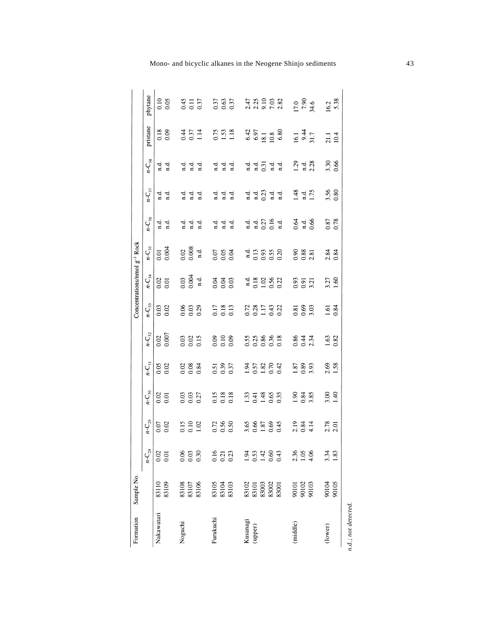|                                   | phytane    |                   | $\begin{array}{c} 0.10 \\ 0.05 \end{array}$<br>0.18 |                           | $0.45$<br>0.11<br>$0.37$<br>$0.37$ | 0.37 |                            | $0.75$<br>1.53                                                                                                  | 535<br>0.50<br>0.57 |                                           | $7.8988$<br>$7.8988$<br>$7.888$                                                                                                                                                                                                                                                                             |  | $6.42$<br>$6.97$<br>$18.1$<br>$6.80$<br>$6.80$                        |                         | $16.1$<br>9.44<br>31.7          | $\frac{17.0}{7.90}$ |         | $\frac{16.2}{5.38}$                         |  |
|-----------------------------------|------------|-------------------|-----------------------------------------------------|---------------------------|------------------------------------|------|----------------------------|-----------------------------------------------------------------------------------------------------------------|---------------------|-------------------------------------------|-------------------------------------------------------------------------------------------------------------------------------------------------------------------------------------------------------------------------------------------------------------------------------------------------------------|--|-----------------------------------------------------------------------|-------------------------|---------------------------------|---------------------|---------|---------------------------------------------|--|
|                                   | pristane   |                   |                                                     |                           |                                    |      |                            |                                                                                                                 |                     |                                           |                                                                                                                                                                                                                                                                                                             |  |                                                                       |                         |                                 |                     |         | $\frac{21.1}{10.4}$                         |  |
|                                   | $n-C_{38}$ |                   | nd<br>nd                                            |                           | d d d<br>n d d                     |      |                            | pi pi pi<br>Pi pi                                                                                               |                     |                                           |                                                                                                                                                                                                                                                                                                             |  | 결 결 중 결 결                                                             |                         | $\frac{29}{10}$ d $\frac{3}{2}$ |                     |         | 3.30                                        |  |
|                                   | $n-C_{37}$ |                   | nd<br>nd                                            |                           | ਰ ਰਹ<br>ਸ਼ਿਰ                       |      |                            | pi pi<br>Pi pi<br>Pi pi                                                                                         |                     |                                           |                                                                                                                                                                                                                                                                                                             |  |                                                                       |                         | $\frac{48}{1}$ d.<br>175        |                     |         | 3.56<br>0.80                                |  |
|                                   | $n-C_{36}$ |                   | ed<br>Ed                                            |                           | ਰ ਰਹ<br>ਜ                          |      |                            | $\begin{array}{ccc}\n\mathbf{d} & \mathbf{d} & \mathbf{d} \\ \mathbf{d} & \mathbf{d} & \mathbf{d}\n\end{array}$ |                     |                                           |                                                                                                                                                                                                                                                                                                             |  | $\frac{d}{d}$ $\frac{d}{d}$ $\frac{5}{d}$ $\frac{8}{d}$ $\frac{d}{d}$ |                         |                                 | 0.44                |         | 0.87<br>0.78                                |  |
|                                   | $n-C_{35}$ | $0.01$<br>$0.004$ |                                                     |                           | $0.02$<br>$0.008$<br>$n.d.$        |      |                            | 5 S S<br>0.00                                                                                                   |                     |                                           | $\frac{1}{6}$ $\frac{3}{6}$ $\frac{5}{6}$ $\frac{5}{6}$ $\frac{5}{6}$ $\frac{5}{6}$                                                                                                                                                                                                                         |  |                                                                       |                         | 0.88<br>0.88<br>2.81            |                     |         | $2.84$<br>0.84                              |  |
| Concentrations/nmol $g^{-1}$ Rock | $n-C_{34}$ | 0.02              |                                                     | $0.03$<br>$0.004$<br>n.d. |                                    |      |                            | ತ್ತ ತ್ವ<br>೧೦೦                                                                                                  |                     |                                           | $\frac{18}{10}$ $\frac{8}{10}$ $\frac{8}{5}$ $\frac{8}{10}$ $\frac{8}{10}$ $\frac{8}{10}$ $\frac{8}{10}$ $\frac{8}{10}$ $\frac{8}{10}$ $\frac{8}{10}$ $\frac{8}{10}$ $\frac{8}{10}$ $\frac{8}{10}$ $\frac{8}{10}$ $\frac{8}{10}$ $\frac{8}{10}$ $\frac{8}{10}$ $\frac{8}{10}$ $\frac{8}{10}$ $\frac{8}{10}$ |  |                                                                       |                         | 0.93<br>0.91<br>3.21            |                     |         | 3.27<br>1.60                                |  |
|                                   | $n-C_{33}$ | 0.03              |                                                     |                           | 0.038                              |      |                            | 117<br>813<br>0.13                                                                                              |                     |                                           | 231732<br>231732                                                                                                                                                                                                                                                                                            |  |                                                                       |                         | 88<br>0.69<br>3.03              |                     |         | $\frac{1.61}{0.84}$                         |  |
|                                   | $n-C_{32}$ | $0.02$<br>$0.007$ |                                                     |                           | 385<br>385                         |      |                            | 8<br>0.10<br>0.0                                                                                                |                     |                                           | 55<br>0386<br>0036<br>003                                                                                                                                                                                                                                                                                   |  |                                                                       |                         | 0.34<br>0.34<br>0.34            |                     |         | $\begin{array}{c} 1.63 \\ 0.82 \end{array}$ |  |
|                                   | $n-C_{31}$ | 0.05              |                                                     |                           | 0.88<br>0.0.0                      |      |                            | 51<br>0.35<br>0.57                                                                                              |                     |                                           | 1352<br>025<br>1952                                                                                                                                                                                                                                                                                         |  |                                                                       |                         | 1.87<br>0.89<br>3.93            |                     |         | 2.69<br>1.58                                |  |
|                                   | $n-C_{30}$ | 0.02              |                                                     |                           | 0.03<br>0.03<br>0.27               |      |                            | 0.15<br>0.18<br>0.18                                                                                            |                     |                                           | $\frac{33}{1}$ $\frac{48}{1}$ $\frac{85}{1}$ $\frac{85}{1}$                                                                                                                                                                                                                                                 |  |                                                                       |                         | $\frac{0.36}{0.36}$             |                     |         | $\frac{3}{1}$ .40                           |  |
|                                   | $n-C_{29}$ | 0.07              |                                                     |                           | 15<br>0.10<br>1.02                 |      |                            | 0.36<br>0.50<br>0.50                                                                                            |                     |                                           | $3.66$<br>$3.66$<br>$-1.69$<br>$-0.6$<br>$-0.6$                                                                                                                                                                                                                                                             |  |                                                                       |                         | $2.34$<br>$0.34$<br>$4.14$      |                     |         | 2.78                                        |  |
|                                   | $n-C_{28}$ | $0.02$<br>$0.01$  |                                                     |                           | $0.35$<br>$0.30$                   |      | $0.16$<br>$0.21$<br>$0.23$ |                                                                                                                 |                     |                                           | 1225<br>1235                                                                                                                                                                                                                                                                                                |  |                                                                       |                         | $2.36$<br>$-4.56$               |                     |         | $3.\overline{3}4$<br>1.83                   |  |
| Sample No.                        |            | 83110             | 83109                                               | 83108<br>83107<br>83106   |                                    |      | 83105<br>83104<br>83103    |                                                                                                                 |                     | 83102<br>83101<br>83003<br>83002<br>83002 |                                                                                                                                                                                                                                                                                                             |  |                                                                       | 90101<br>90102<br>90103 |                                 |                     | 90104   | 90105                                       |  |
| Formation                         |            | Nakawatari        |                                                     | Noguchi                   |                                    |      | Furukuchi                  |                                                                                                                 |                     | Kusanagi                                  | (upper)                                                                                                                                                                                                                                                                                                     |  |                                                                       | (middle)                |                                 |                     | (lower) |                                             |  |

Mono- and bicyclic alkanes in the Neogene Shinjo sediments 43

 $n.d.; not detected.$ *n.d.; not detected.*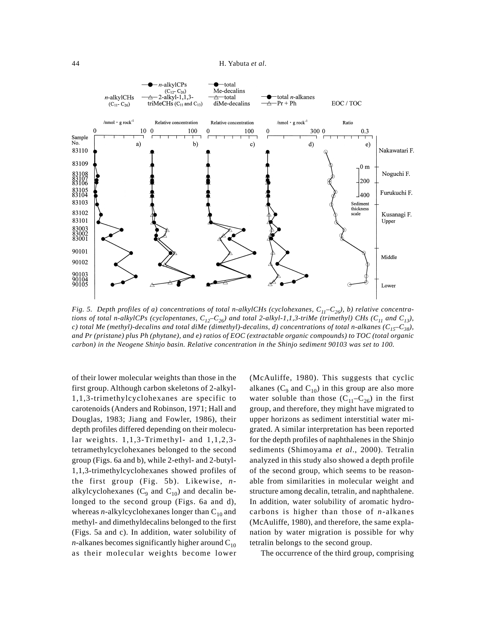

*Fig.* 5. Depth profiles of a) concentrations of total n-alkylCHs (cyclohexanes,  $C_{11}-C_{26}$ ), b) relative concentra*tions of total n-alkylCPs (cyclopentanes,*  $C_{12}-C_{26}$ *) and total 2-alkyl-1,1,3-triMe (trimethyl) CHs (* $C_{11}$  *and*  $C_{13}$ *), c) total Me (methyl)-decalins and total diMe (dimethyl)-decalins, d) concentrations of total n-alkanes (C<sub>15</sub>–C<sub>38</sub>), and Pr (pristane) plus Ph (phytane), and e) ratios of EOC (extractable organic compounds) to TOC (total organic carbon) in the Neogene Shinjo basin. Relative concentration in the Shinjo sediment 90103 was set to 100.*

of their lower molecular weights than those in the first group. Although carbon skeletons of 2-alkyl-1,1,3-trimethylcyclohexanes are specific to carotenoids (Anders and Robinson, 1971; Hall and Douglas, 1983; Jiang and Fowler, 1986), their depth profiles differed depending on their molecular weights. 1,1,3-Trimethyl- and 1,1,2,3 tetramethylcyclohexanes belonged to the second group (Figs. 6a and b), while 2-ethyl- and 2-butyl-1,1,3-trimethylcyclohexanes showed profiles of the first group (Fig. 5b). Likewise, *n*alkylcyclohexanes  $(C_9$  and  $C_{10}$ ) and decalin belonged to the second group (Figs. 6a and d), whereas  $n$ -alkylcyclohexanes longer than  $C_{10}$  and methyl- and dimethyldecalins belonged to the first (Figs. 5a and c). In addition, water solubility of *n*-alkanes becomes significantly higher around  $C_{10}$ as their molecular weights become lower (McAuliffe, 1980). This suggests that cyclic alkanes ( $C_9$  and  $C_{10}$ ) in this group are also more water soluble than those  $(C_{11}-C_{26})$  in the first group, and therefore, they might have migrated to upper horizons as sediment interstitial water migrated. A similar interpretation has been reported for the depth profiles of naphthalenes in the Shinjo sediments (Shimoyama *et al*., 2000). Tetralin analyzed in this study also showed a depth profile of the second group, which seems to be reasonable from similarities in molecular weight and structure among decalin, tetralin, and naphthalene. In addition, water solubility of aromatic hydrocarbons is higher than those of *n*-alkanes (McAuliffe, 1980), and therefore, the same explanation by water migration is possible for why tetralin belongs to the second group.

The occurrence of the third group, comprising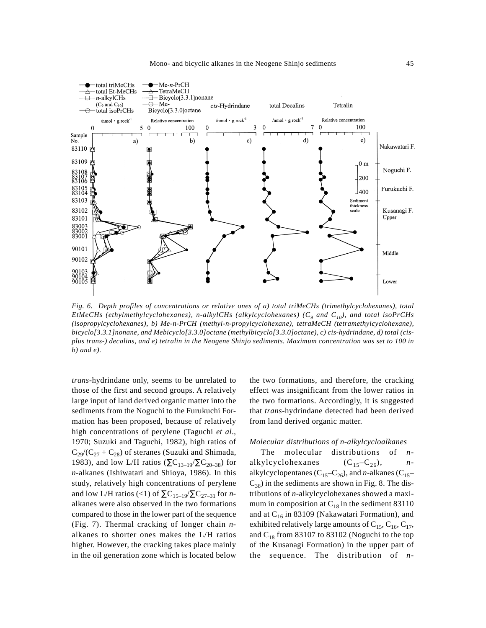

*Fig. 6. Depth profiles of concentrations or relative ones of a) total triMeCHs (trimethylcyclohexanes), total EtMeCHs (ethylmethylcyclohexanes), n-alkylCHs (alkylcyclohexanes) (C9 and C10), and total isoPrCHs (isopropylcyclohexanes), b) Me-n-PrCH (methyl-n-propylcyclohexane), tetraMeCH (tetramethylcyclohexane), bicyclo[3.3.1]nonane, and Mebicyclo[3.3.0]octane (methylbicyclo[3.3.0]octane), c) cis-hydrindane, d) total (cisplus trans-) decalins, and e) tetralin in the Neogene Shinjo sediments. Maximum concentration was set to 100 in b) and e).*

*trans*-hydrindane only, seems to be unrelated to those of the first and second groups. A relatively large input of land derived organic matter into the sediments from the Noguchi to the Furukuchi Formation has been proposed, because of relatively high concentrations of perylene (Taguchi *et al*., 1970; Suzuki and Taguchi, 1982), high ratios of  $C_{29}/(C_{27} + C_{28})$  of steranes (Suzuki and Shimada, 1983), and low L/H ratios ( $\sum C_{13-19}/\sum C_{20-38}$ ) for *n*-alkanes (Ishiwatari and Shioya, 1986). In this study, relatively high concentrations of perylene and low L/H ratios (<1) of  $\sum C_{15-19}/\sum C_{27-31}$  for *n*alkanes were also observed in the two formations compared to those in the lower part of the sequence (Fig. 7). Thermal cracking of longer chain *n*alkanes to shorter ones makes the L/H ratios higher. However, the cracking takes place mainly in the oil generation zone which is located below

the two formations, and therefore, the cracking effect was insignificant from the lower ratios in the two formations. Accordingly, it is suggested that *trans*-hydrindane detected had been derived from land derived organic matter.

# *Molecular distributions of n-alkylcycloalkanes*

The molecular distributions of *n*alkylcyclohexanes  $(C_{15}-C_{26}),$  *n*alkylcyclopentanes ( $C_{15}-C_{26}$ ), and *n*-alkanes ( $C_{15} C_{38}$ ) in the sediments are shown in Fig. 8. The distributions of *n*-alkylcyclohexanes showed a maximum in composition at  $C_{18}$  in the sediment 83110 and at  $C_{16}$  in 83109 (Nakawatari Formation), and exhibited relatively large amounts of  $C_{15}$ ,  $C_{16}$ ,  $C_{17}$ , and  $C_{18}$  from 83107 to 83102 (Noguchi to the top of the Kusanagi Formation) in the upper part of the sequence. The distribution of *n*-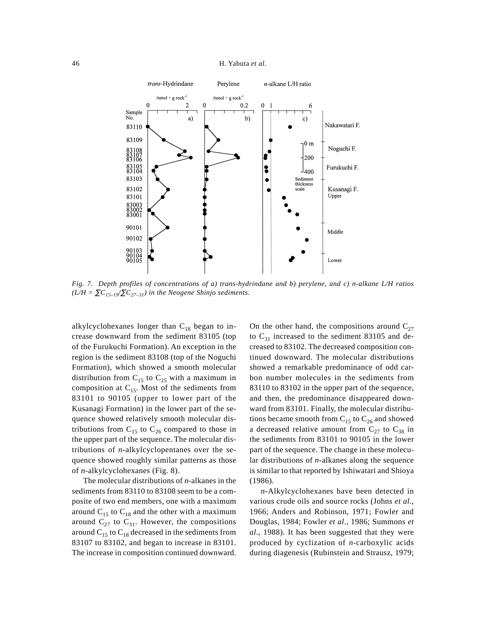

*Fig. 7. Depth profiles of concentrations of a) trans-hydrindane and b) perylene, and c) n-alkane L/H ratios*  $(L/H = \sum C_{15-19} / \sum C_{27-31}$ ) in the Neogene Shinjo sediments.

alkylcyclohexanes longer than  $C_{18}$  began to increase downward from the sediment 83105 (top of the Furukuchi Formation). An exception in the region is the sediment 83108 (top of the Noguchi Formation), which showed a smooth molecular distribution from  $C_{15}$  to  $C_{25}$  with a maximum in composition at  $C_{15}$ . Most of the sediments from 83101 to 90105 (upper to lower part of the Kusanagi Formation) in the lower part of the sequence showed relatively smooth molecular distributions from  $C_{15}$  to  $C_{26}$  compared to those in the upper part of the sequence. The molecular distributions of *n*-alkylcyclopentanes over the sequence showed roughly similar patterns as those of *n*-alkylcyclohexanes (Fig. 8).

The molecular distributions of *n*-alkanes in the sediments from 83110 to 83108 seem to be a composite of two end members, one with a maximum around  $C_{15}$  to  $C_{18}$  and the other with a maximum around  $C_{27}$  to  $C_{31}$ . However, the compositions around  $C_{15}$  to  $C_{18}$  decreased in the sediments from 83107 to 83102, and began to increase in 83101. The increase in composition continued downward.

On the other hand, the compositions around  $C_{27}$ to  $C_{31}$  increased to the sediment 83105 and decreased to 83102. The decreased composition continued downward. The molecular distributions showed a remarkable predominance of odd carbon number molecules in the sediments from 83110 to 83102 in the upper part of the sequence, and then, the predominance disappeared downward from 83101. Finally, the molecular distributions became smooth from  $C_{15}$  to  $C_{26}$  and showed a decreased relative amount from  $C_{27}$  to  $C_{38}$  in the sediments from 83101 to 90105 in the lower part of the sequence. The change in these molecular distributions of *n*-alkanes along the sequence is similar to that reported by Ishiwatari and Shioya (1986).

*n*-Alkylcyclohexanes have been detected in various crude oils and source rocks (Johns *et al*., 1966; Anders and Robinson, 1971; Fowler and Douglas, 1984; Fowler *et al*., 1986; Summons *et al*., 1988). It has been suggested that they were produced by cyclization of *n*-carboxylic acids during diagenesis (Rubinstein and Strausz, 1979;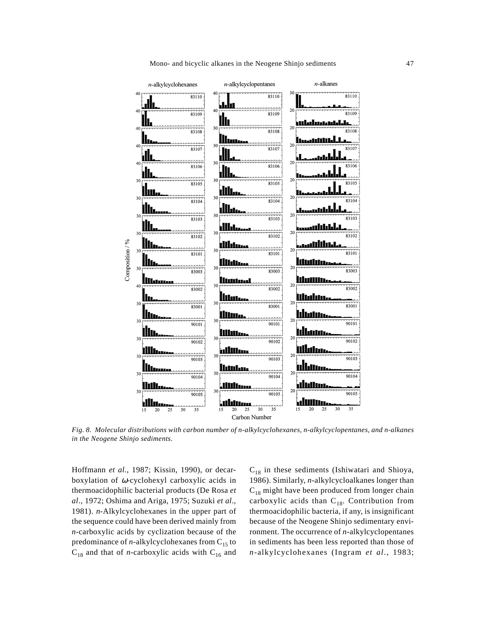

*Fig. 8. Molecular distributions with carbon number of n-alkylcyclohexanes, n-alkylcyclopentanes, and n-alkanes in the Neogene Shinjo sediments.*

Hoffmann *et al*., 1987; Kissin, 1990), or decarboxylation of ω-cyclohexyl carboxylic acids in thermoacidophilic bacterial products (De Rosa *et al*., 1972; Oshima and Ariga, 1975; Suzuki *et al*., 1981). *n*-Alkylcyclohexanes in the upper part of the sequence could have been derived mainly from *n*-carboxylic acids by cyclization because of the predominance of  $n$ -alkylcyclohexanes from  $C_{15}$  to  $C_{18}$  and that of *n*-carboxylic acids with  $C_{16}$  and  $C_{18}$  in these sediments (Ishiwatari and Shioya, 1986). Similarly, *n*-alkylcycloalkanes longer than  $C_{18}$  might have been produced from longer chain carboxylic acids than  $C_{18}$ . Contribution from thermoacidophilic bacteria, if any, is insignificant because of the Neogene Shinjo sedimentary environment. The occurrence of *n*-alkylcyclopentanes in sediments has been less reported than those of *n*-alkylcyclohexanes (Ingram *et al*., 1983;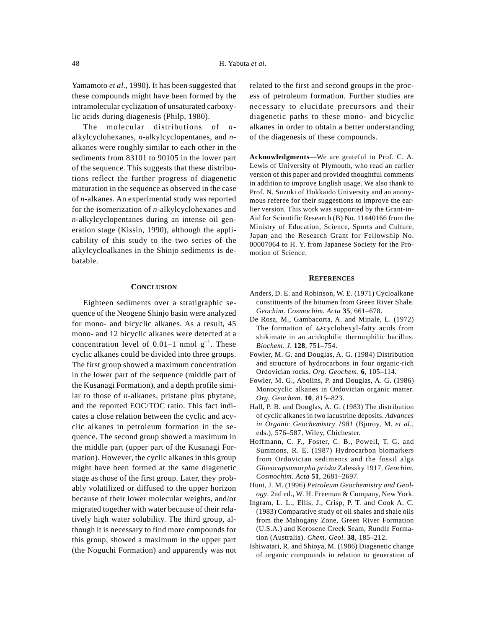Yamamoto *et al*., 1990). It has been suggested that these compounds might have been formed by the intramolecular cyclization of unsaturated carboxylic acids during diagenesis (Philp, 1980).

The molecular distributions of *n*alkylcyclohexanes, *n*-alkylcyclopentanes, and *n*alkanes were roughly similar to each other in the sediments from 83101 to 90105 in the lower part of the sequence. This suggests that these distributions reflect the further progress of diagenetic maturation in the sequence as observed in the case of *n*-alkanes. An experimental study was reported for the isomerization of *n*-alkylcyclohexanes and *n*-alkylcyclopentanes during an intense oil generation stage (Kissin, 1990), although the applicability of this study to the two series of the alkylcycloalkanes in the Shinjo sediments is debatable.

## **CONCLUSION**

Eighteen sediments over a stratigraphic sequence of the Neogene Shinjo basin were analyzed for mono- and bicyclic alkanes. As a result, 45 mono- and 12 bicyclic alkanes were detected at a concentration level of 0.01–1 nmol  $g^{-1}$ . These cyclic alkanes could be divided into three groups. The first group showed a maximum concentration in the lower part of the sequence (middle part of the Kusanagi Formation), and a depth profile similar to those of *n*-alkanes, pristane plus phytane, and the reported EOC/TOC ratio. This fact indicates a close relation between the cyclic and acyclic alkanes in petroleum formation in the sequence. The second group showed a maximum in the middle part (upper part of the Kusanagi Formation). However, the cyclic alkanes in this group might have been formed at the same diagenetic stage as those of the first group. Later, they probably volatilized or diffused to the upper horizon because of their lower molecular weights, and/or migrated together with water because of their relatively high water solubility. The third group, although it is necessary to find more compounds for this group, showed a maximum in the upper part (the Noguchi Formation) and apparently was not related to the first and second groups in the process of petroleum formation. Further studies are necessary to elucidate precursors and their diagenetic paths to these mono- and bicyclic alkanes in order to obtain a better understanding of the diagenesis of these compounds.

**Acknowledgments**—We are grateful to Prof. C. A. Lewis of University of Plymouth, who read an earlier version of this paper and provided thoughtful comments in addition to improve English usage. We also thank to Prof. N. Suzuki of Hokkaido University and an anonymous referee for their suggestions to improve the earlier version. This work was supported by the Grant-in-Aid for Scientific Research (B) No. 11440166 from the Ministry of Education, Science, Sports and Culture, Japan and the Research Grant for Fellowship No. 00007064 to H. Y. from Japanese Society for the Promotion of Science.

# **REFERENCES**

- Anders, D. E. and Robinson, W. E. (1971) Cycloalkane constituents of the bitumen from Green River Shale. *Geochim. Cosmochim. Acta* **35**, 661–678.
- De Rosa, M., Gambacorta, A. and Minale, L. (1972) The formation of ω-cyclohexyl-fatty acids from shikimate in an acidophilic thermophilic bacillus. *Biochem. J*. **128**, 751–754.
- Fowler, M. G. and Douglas, A. G. (1984) Distribution and structure of hydrocarbons in four organic-rich Ordovician rocks. *Org. Geochem*. **6**, 105–114.
- Fowler, M. G., Abolins, P. and Douglas, A. G. (1986) Monocyclic alkanes in Ordovician organic matter. *Org. Geochem*. **10**, 815–823.
- Hall, P. B. and Douglas, A. G. (1983) The distribution of cyclic alkanes in two lacustrine deposits. *Advances in Organic Geochemistry 1981* (Bjoroy, M. *et al*., eds.), 576–587, Wiley, Chichester.
- Hoffmann, C. F., Foster, C. B., Powell, T. G. and Summons, R. E. (1987) Hydrocarbon biomarkers from Ordovician sediments and the fossil alga *Gloeocapsomorpha priska* Zalessky 1917. *Geochim. Cosmochim. Acta* **51**, 2681–2697.
- Hunt, J. M. (1996) *Petroleum Geochemistry and Geology*. 2nd ed., W. H. Freeman & Company, New York.
- Ingram, L. L., Ellis, J., Crisp, P. T. and Cook A. C. (1983) Comparative study of oil shales and shale oils from the Mahogany Zone, Green River Formation (U.S.A.) and Kerosene Creek Seam, Rundle Formation (Australia). *Chem. Geol*. **38**, 185–212.
- Ishiwatari, R. and Shioya, M. (1986) Diagenetic change of organic compounds in relation to generation of